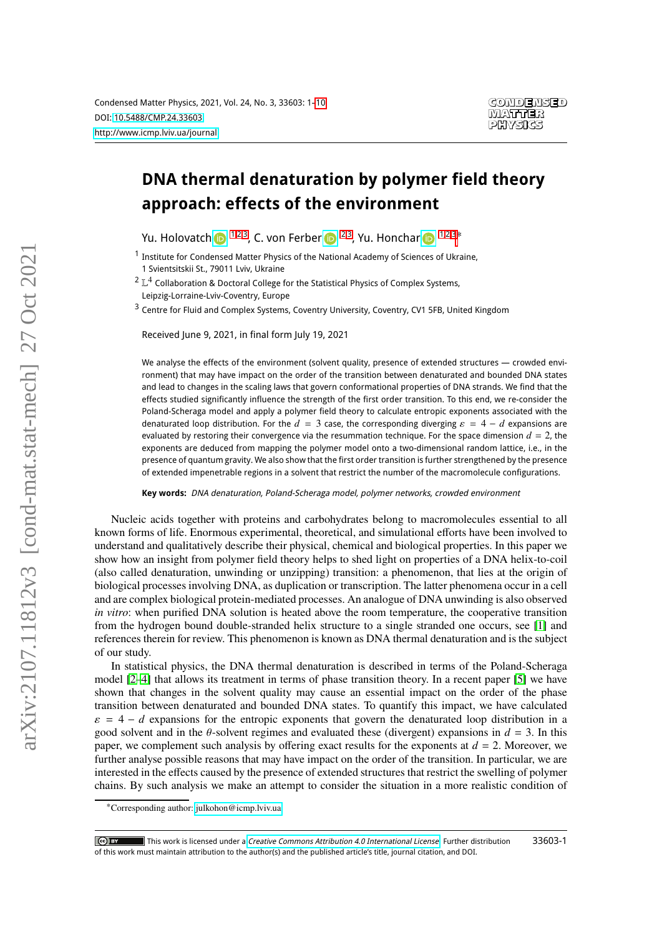# **DNA thermal denaturation by polymer field theory approach: effects of the environment**

Yu. Holovatch  $\mathbf{D}^{1,2,3}$  $\mathbf{D}^{1,2,3}$  $\mathbf{D}^{1,2,3}$  $\mathbf{D}^{1,2,3}$  $\mathbf{D}^{1,2,3}$ , C. von Ferber  $\mathbf{D}^{2,3}$  $\mathbf{D}^{2,3}$  $\mathbf{D}^{2,3}$ , Yu. Honchar  $\mathbf{D}^{1,2,3*}$  $\mathbf{D}^{1,2,3*}$  $\mathbf{D}^{1,2,3*}$  $\mathbf{D}^{1,2,3*}$ 

<span id="page-0-0"></span> $^{\text{1}}$  Institute for Condensed Matter Physics of the National Academy of Sciences of Ukraine, 1 Svientsitskii St., 79011 Lviv, Ukraine

<span id="page-0-1"></span> $^2$   $\mathbb{L}^4$  Collaboration & Doctoral College for the Statistical Physics of Complex Systems,

Leipzig-Lorraine-Lviv-Coventry, Europe

<span id="page-0-2"></span><sup>3</sup> Centre for Fluid and Complex Systems, Coventry University, Coventry, CV1 5FB, United Kingdom

Received June 9, 2021, in final form July 19, 2021

We analyse the effects of the environment (solvent quality, presence of extended structures — crowded environment) that may have impact on the order of the transition between denaturated and bounded DNA states and lead to changes in the scaling laws that govern conformational properties of DNA strands. We find that the effects studied significantly influence the strength of the first order transition. To this end, we re-consider the Poland-Scheraga model and apply a polymer field theory to calculate entropic exponents associated with the denaturated loop distribution. For the  $d = 3$  case, the corresponding diverging  $\varepsilon = 4 - d$  expansions are evaluated by restoring their convergence via the resummation technique. For the space dimension  $d = 2$ , the exponents are deduced from mapping the polymer model onto a two-dimensional random lattice, i.e., in the presence of quantum gravity. We also show that the first order transition is further strengthened by the presence of extended impenetrable regions in a solvent that restrict the number of the macromolecule configurations.

**Key words:** DNA denaturation, Poland-Scheraga model, polymer networks, crowded environment

Nucleic acids together with proteins and carbohydrates belong to macromolecules essential to all known forms of life. Enormous experimental, theoretical, and simulational efforts have been involved to understand and qualitatively describe their physical, chemical and biological properties. In this paper we show how an insight from polymer field theory helps to shed light on properties of a DNA helix-to-coil (also called denaturation, unwinding or unzipping) transition: a phenomenon, that lies at the origin of biological processes involving DNA, as duplication or transcription. The latter phenomena occur in a cell and are complex biological protein-mediated processes. An analogue of DNA unwinding is also observed *in vitro*: when purified DNA solution is heated above the room temperature, the cooperative transition from the hydrogen bound double-stranded helix structure to a single stranded one occurs, see [\[1\]](#page-7-0) and references therein for review. This phenomenon is known as DNA thermal denaturation and is the subject of our study.

In statistical physics, the DNA thermal denaturation is described in terms of the Poland-Scheraga model [\[2](#page-7-1)[–4\]](#page-7-2) that allows its treatment in terms of phase transition theory. In a recent paper [\[5\]](#page-7-3) we have shown that changes in the solvent quality may cause an essential impact on the order of the phase transition between denaturated and bounded DNA states. To quantify this impact, we have calculated  $\varepsilon = 4 - d$  expansions for the entropic exponents that govern the denaturated loop distribution in a good solvent and in the  $\theta$ -solvent regimes and evaluated these (divergent) expansions in  $d = 3$ . In this paper, we complement such analysis by offering exact results for the exponents at  $d = 2$ . Moreover, we further analyse possible reasons that may have impact on the order of the transition. In particular, we are interested in the effects caused by the presence of extended structures that restrict the swelling of polymer chains. By such analysis we make an attempt to consider the situation in a more realistic condition of

<sup>∗</sup>Corresponding author: [julkohon@icmp.lviv.ua](mailto:julkohon@icmp.lviv.ua)

<sup>33603-1</sup>  $\left\vert$  (cc) BY This work is licensed under a [Creative Commons Attribution 4.0 International License](https://creativecommons.org/licenses/by/4.0/). Further distribution of this work must maintain attribution to the author(s) and the published article's title, journal citation, and DOI.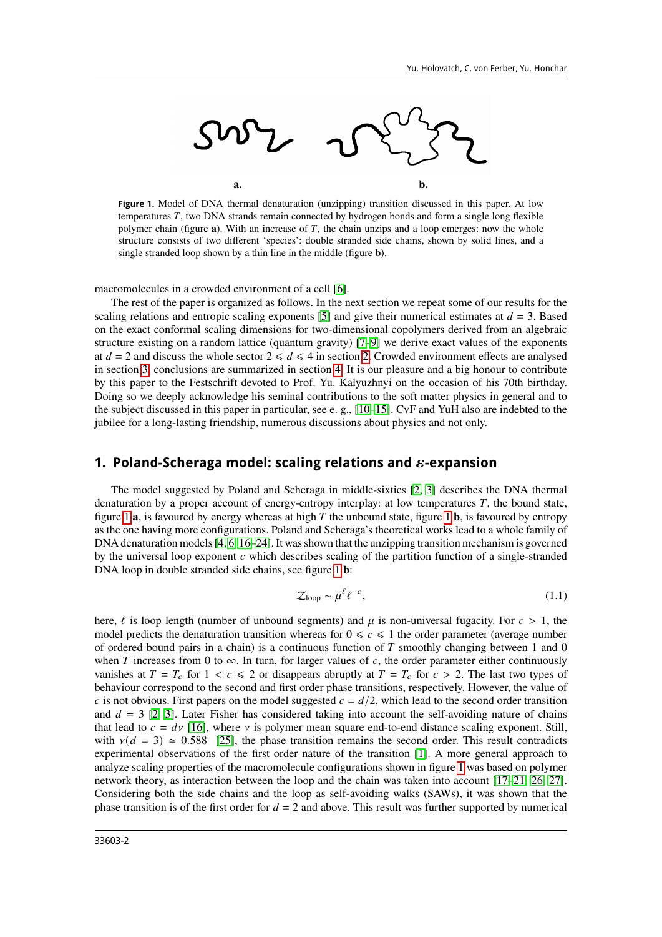

<span id="page-1-0"></span>**Figure 1.** Model of DNA thermal denaturation (unzipping) transition discussed in this paper. At low temperatures  $T$ , two DNA strands remain connected by hydrogen bonds and form a single long flexible polymer chain (figure **a**). With an increase of T, the chain unzips and a loop emerges: now the whole structure consists of two different 'species': double stranded side chains, shown by solid lines, and a single stranded loop shown by a thin line in the middle (figure **b**).

macromolecules in a crowded environment of a cell [\[6\]](#page-7-4).

The rest of the paper is organized as follows. In the next section we repeat some of our results for the scaling relations and entropic scaling exponents [\[5\]](#page-7-3) and give their numerical estimates at  $d = 3$ . Based on the exact conformal scaling dimensions for two-dimensional copolymers derived from an algebraic structure existing on a random lattice (quantum gravity) [\[7–](#page-7-5)[9\]](#page-7-6) we derive exact values of the exponents at  $d = 2$  and discuss the whole sector  $2 \le d \le 4$  in section [2.](#page-4-0) Crowded environment effects are analysed in section [3,](#page-5-0) conclusions are summarized in section [4.](#page-6-0) It is our pleasure and a big honour to contribute by this paper to the Festschrift devoted to Prof. Yu. Kalyuzhnyi on the occasion of his 70th birthday. Doing so we deeply acknowledge his seminal contributions to the soft matter physics in general and to the subject discussed in this paper in particular, see e. g., [\[10–](#page-7-7)[15\]](#page-7-8). CvF and YuH also are indebted to the jubilee for a long-lasting friendship, numerous discussions about physics and not only.

#### <span id="page-1-2"></span>**1. Poland-Scheraga model: scaling relations and**  $\varepsilon$ **-expansion**

The model suggested by Poland and Scheraga in middle-sixties [\[2,](#page-7-1) [3\]](#page-7-9) describes the DNA thermal denaturation by a proper account of energy-entropy interplay: at low temperatures  $T$ , the bound state, figure [1](#page-1-0)  $a$ , is favoured by energy whereas at high  $T$  the unbound state, figure 1  $b$ , is favoured by entropy as the one having more configurations. Poland and Scheraga's theoretical works lead to a whole family of DNA denaturation models [\[4,](#page-7-2) [6,](#page-7-4) [16](#page-7-10)[–24\]](#page-7-11). It was shown that the unzipping transition mechanism is governed by the universal loop exponent  $c$  which describes scaling of the partition function of a single-stranded DNA loop in double stranded side chains, see figure [1](#page-1-0) **b**:

<span id="page-1-1"></span>
$$
\mathcal{Z}_{\text{loop}} \sim \mu^{\ell} \ell^{-c},\tag{1.1}
$$

here,  $\ell$  is loop length (number of unbound segments) and  $\mu$  is non-universal fugacity. For  $c > 1$ , the model predicts the denaturation transition whereas for  $0 \le c \le 1$  the order parameter (average number of ordered bound pairs in a chain) is a continuous function of  $T$  smoothly changing between 1 and 0 when T increases from 0 to  $\infty$ . In turn, for larger values of c, the order parameter either continuously vanishes at  $T = T_c$  for  $1 < c \le 2$  or disappears abruptly at  $T = T_c$  for  $c > 2$ . The last two types of behaviour correspond to the second and first order phase transitions, respectively. However, the value of c is not obvious. First papers on the model suggested  $c = d/2$ , which lead to the second order transition and  $d = 3$  [\[2,](#page-7-1) [3\]](#page-7-9). Later Fisher has considered taking into account the self-avoiding nature of chains that lead to  $c = dv$  [\[16\]](#page-7-10), where v is polymer mean square end-to-end distance scaling exponent. Still, with  $v(d = 3) \approx 0.588$  [\[25\]](#page-7-12), the phase transition remains the second order. This result contradicts experimental observations of the first order nature of the transition [\[1\]](#page-7-0). A more general approach to analyze scaling properties of the macromolecule configurations shown in figure [1](#page-1-0) was based on polymer network theory, as interaction between the loop and the chain was taken into account [\[17–](#page-7-13)[21,](#page-7-14) [26,](#page-7-15) [27\]](#page-7-16). Considering both the side chains and the loop as self-avoiding walks (SAWs), it was shown that the phase transition is of the first order for  $d = 2$  and above. This result was further supported by numerical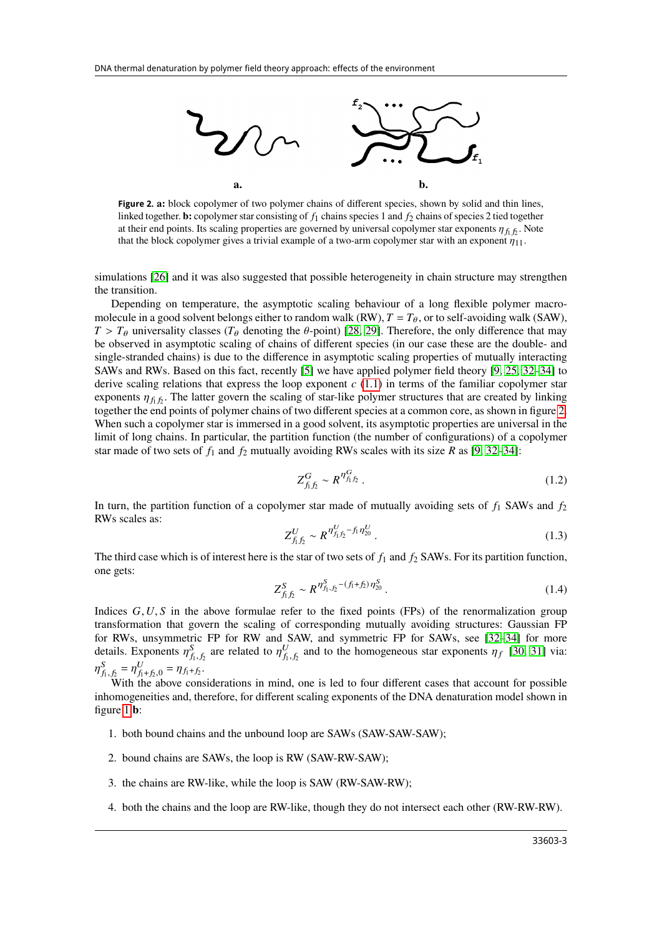

<span id="page-2-0"></span>**Figure 2. a:** block copolymer of two polymer chains of different species, shown by solid and thin lines, linked together. **b:** copolymer star consisting of  $f_1$  chains species 1 and  $f_2$  chains of species 2 tied together at their end points. Its scaling properties are governed by universal copolymer star exponents  $\eta_{f_1 f_2}$ . Note that the block copolymer gives a trivial example of a two-arm copolymer star with an exponent  $\eta_{11}$ .

simulations [\[26\]](#page-7-15) and it was also suggested that possible heterogeneity in chain structure may strengthen the transition.

Depending on temperature, the asymptotic scaling behaviour of a long flexible polymer macromolecule in a good solvent belongs either to random walk (RW),  $T = T_{\theta}$ , or to self-avoiding walk (SAW),  $T > T_{\theta}$  universality classes ( $T_{\theta}$  denoting the  $\theta$ -point) [\[28,](#page-8-0) [29\]](#page-8-1). Therefore, the only difference that may be observed in asymptotic scaling of chains of different species (in our case these are the double- and single-stranded chains) is due to the difference in asymptotic scaling properties of mutually interacting SAWs and RWs. Based on this fact, recently [\[5\]](#page-7-3) we have applied polymer field theory [\[9,](#page-7-6) [25,](#page-7-12) [32–](#page-8-2)[34\]](#page-8-3) to derive scaling relations that express the loop exponent  $c(1.1)$  $c(1.1)$  in terms of the familiar copolymer star exponents  $\eta_{f_1 f_2}$ . The latter govern the scaling of star-like polymer structures that are created by linking together the end points of polymer chains of two different species at a common core, as shown in figure [2.](#page-2-0) When such a copolymer star is immersed in a good solvent, its asymptotic properties are universal in the limit of long chains. In particular, the partition function (the number of configurations) of a copolymer star made of two sets of  $f_1$  and  $f_2$  mutually avoiding RWs scales with its size R as [\[9,](#page-7-6) [32–](#page-8-2)[34\]](#page-8-3):

$$
Z_{f_1 f_2}^G \sim R^{\eta_{f_1 f_2}^G} \,. \tag{1.2}
$$

In turn, the partition function of a copolymer star made of mutually avoiding sets of  $f_1$  SAWs and  $f_2$ RWs scales as:

$$
Z_{f_1 f_2}^U \sim R^{\eta_{f_1 f_2}^U - f_1 \eta_{20}^U} \,. \tag{1.3}
$$

The third case which is of interest here is the star of two sets of  $f_1$  and  $f_2$  SAWs. For its partition function, one gets:

$$
Z_{f_1 f_2}^S \sim R^{\eta_{f_1, f_2}^S - (f_1 + f_2)\eta_{20}^S} \,. \tag{1.4}
$$

Indices  $G, U, S$  in the above formulae refer to the fixed points (FPs) of the renormalization group transformation that govern the scaling of corresponding mutually avoiding structures: Gaussian FP for RWs, unsymmetric FP for RW and SAW, and symmetric FP for SAWs, see [\[32–](#page-8-2)[34\]](#page-8-3) for more details. Exponents  $\eta_{f_1,f_2}^S$  are related to  $\eta_{f_1,f_2}^U$  and to the homogeneous star exponents  $\eta_f$  [\[30,](#page-8-4) [31\]](#page-8-5) via:  $\eta_{f_1, f_2}^S = \eta_{f_1+f_2, 0}^U = \eta_{f_1+f_2}.$ 

With the above considerations in mind, one is led to four different cases that account for possible inhomogeneities and, therefore, for different scaling exponents of the DNA denaturation model shown in figure [1](#page-1-0) **b**:

- 1. both bound chains and the unbound loop are SAWs (SAW-SAW-SAW);
- 2. bound chains are SAWs, the loop is RW (SAW-RW-SAW);
- 3. the chains are RW-like, while the loop is SAW (RW-SAW-RW);
- 4. both the chains and the loop are RW-like, though they do not intersect each other (RW-RW-RW).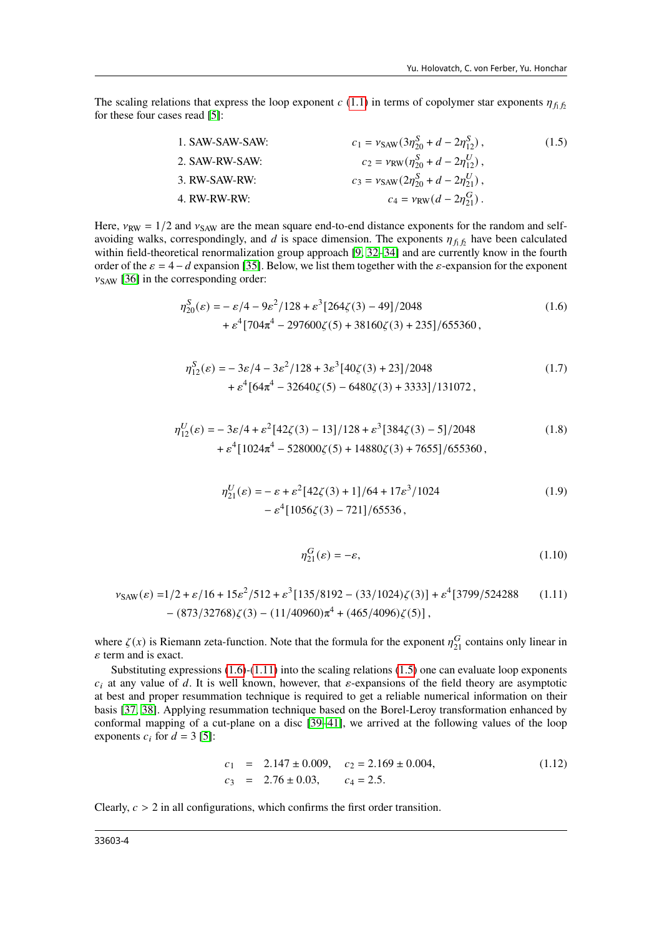The scaling relations that express the loop exponent  $c(1.1)$  $c(1.1)$  in terms of copolymer star exponents  $\eta_{f_1 f_2}$ for these four cases read [\[5\]](#page-7-3):

<span id="page-3-2"></span>

| 1. SAW-SAW-SAW: | $c_1 = v_{SAW}(3\eta_{20}^S + d - 2\eta_{12}^S),$ | (1.5) |
|-----------------|---------------------------------------------------|-------|
| 2. SAW-RW-SAW:  | $c_2 = v_{RW}(\eta_{20}^S + d - 2\eta_{12}^U),$   | (1.5) |
| 3. RW-SAW-RW:   | $c_3 = v_{SAW}(2\eta_{20}^S + d - 2\eta_{21}^U),$ |       |
| 4. RW-RW-RW:    | $c_4 = v_{RW}(d - 2\eta_{21}^G).$                 |       |

Here,  $v_{RW} = 1/2$  and  $v_{SAW}$  are the mean square end-to-end distance exponents for the random and selfavoiding walks, correspondingly, and d is space dimension. The exponents  $\eta_{f_1 f_2}$  have been calculated within field-theoretical renormalization group approach [\[9,](#page-7-6) [32–](#page-8-2)[34\]](#page-8-3) and are currently know in the fourth order of the  $\varepsilon = 4 - d$  expansion [\[35\]](#page-8-6). Below, we list them together with the  $\varepsilon$ -expansion for the exponent  $v_{SAW}$  [\[36\]](#page-8-7) in the corresponding order:

$$
\eta_{20}^{S}(\varepsilon) = -\varepsilon/4 - 9\varepsilon^{2}/128 + \varepsilon^{3}[264\zeta(3) - 49]/2048
$$
  
+  $\varepsilon^{4}[704\pi^{4} - 297600\zeta(5) + 38160\zeta(3) + 235]/655360,$  (1.6)

$$
\eta_{12}^{S}(\varepsilon) = -3\varepsilon/4 - 3\varepsilon^{2}/128 + 3\varepsilon^{3}[40\zeta(3) + 23]/2048
$$
  
+  $\varepsilon^{4}[64\pi^{4} - 32640\zeta(5) - 6480\zeta(3) + 3333]/131072$ , (1.7)

$$
\eta_{12}^U(\varepsilon) = -3\varepsilon/4 + \varepsilon^2 [42\zeta(3) - 13]/128 + \varepsilon^3 [384\zeta(3) - 5]/2048
$$
  
+  $\varepsilon^4 [1024\pi^4 - 528000\zeta(5) + 14880\zeta(3) + 7655]/655360,$  (1.8)

$$
\eta_{21}^{U}(\varepsilon) = -\varepsilon + \varepsilon^{2} [42\zeta(3) + 1]/64 + 17\varepsilon^{3}/1024
$$
  
 
$$
-\varepsilon^{4} [1056\zeta(3) - 721]/65536,
$$
 (1.9)

<span id="page-3-1"></span><span id="page-3-0"></span>
$$
\eta_{21}^G(\varepsilon) = -\varepsilon,\tag{1.10}
$$

$$
v_{SAW}(\varepsilon) = 1/2 + \varepsilon/16 + 15\varepsilon^2/512 + \varepsilon^3 [135/8192 - (33/1024)\zeta(3)] + \varepsilon^4 [3799/524288 \qquad (1.11)
$$

$$
- (873/32768)\zeta(3) - (11/40960)\pi^4 + (465/4096)\zeta(5)],
$$

where  $\zeta(x)$  is Riemann zeta-function. Note that the formula for the exponent  $\eta_{21}^G$  contains only linear in  $\varepsilon$  term and is exact.

Substituting expressions [\(1.6\)](#page-3-0)-[\(1.11\)](#page-3-1) into the scaling relations [\(1.5\)](#page-3-2) one can evaluate loop exponents  $c_i$  at any value of d. It is well known, however, that  $\varepsilon$ -expansions of the field theory are asymptotic at best and proper resummation technique is required to get a reliable numerical information on their basis [\[37,](#page-8-8) [38\]](#page-8-9). Applying resummation technique based on the Borel-Leroy transformation enhanced by conformal mapping of a cut-plane on a disc [\[39–](#page-8-10)[41\]](#page-8-11), we arrived at the following values of the loop exponents  $c_i$  for  $d = 3$  [\[5\]](#page-7-3):

$$
c_1 = 2.147 \pm 0.009, \quad c_2 = 2.169 \pm 0.004, \quad c_3 = 2.76 \pm 0.03, \quad c_4 = 2.5.
$$
 (1.12)

Clearly,  $c > 2$  in all configurations, which confirms the first order transition.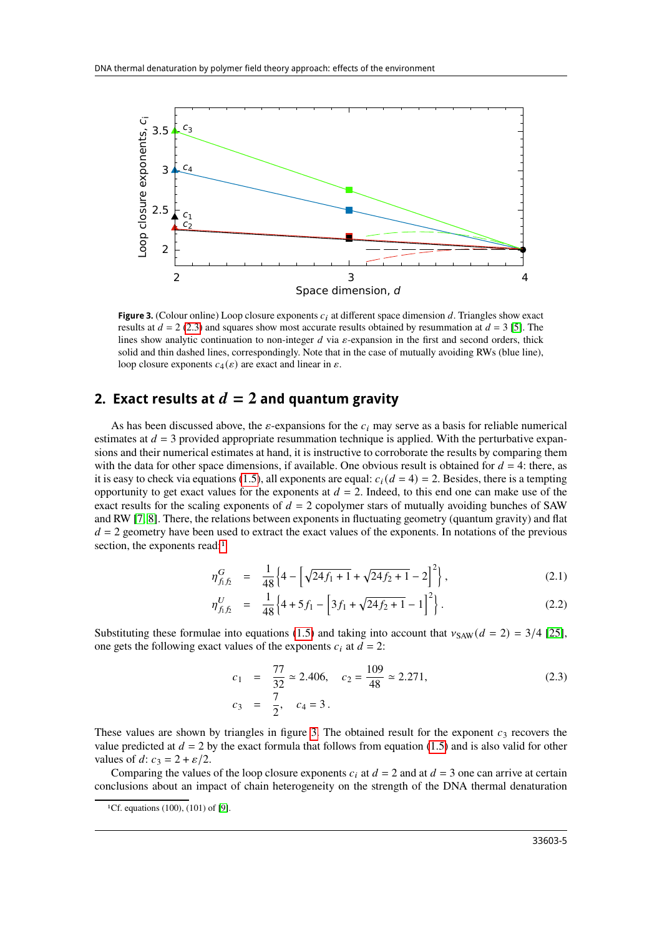

<span id="page-4-3"></span>**Figure 3.** (Colour online) Loop closure exponents  $c_i$  at different space dimension d. Triangles show exact results at  $d = 2$  [\(2.3\)](#page-4-1) and squares show most accurate results obtained by resummation at  $d = 3$  [\[5\]](#page-7-3). The lines show analytic continuation to non-integer  $d$  via  $\varepsilon$ -expansion in the first and second orders, thick solid and thin dashed lines, correspondingly. Note that in the case of mutually avoiding RWs (blue line), loop closure exponents  $c_4(\varepsilon)$  are exact and linear in  $\varepsilon$ .

### <span id="page-4-0"></span>**2. Exact results at**  $d = 2$  and quantum gravity

As has been discussed above, the  $\varepsilon$ -expansions for the  $c_i$  may serve as a basis for reliable numerical estimates at  $d = 3$  provided appropriate resummation technique is applied. With the perturbative expansions and their numerical estimates at hand, it is instructive to corroborate the results by comparing them with the data for other space dimensions, if available. One obvious result is obtained for  $d = 4$ : there, as it is easy to check via equations [\(1.5\)](#page-3-2), all exponents are equal:  $c_i$  ( $d = 4$ ) = 2. Besides, there is a tempting opportunity to get exact values for the exponents at  $d = 2$ . Indeed, to this end one can make use of the exact results for the scaling exponents of  $d = 2$  copolymer stars of mutually avoiding bunches of SAW and RW [\[7,](#page-7-5) [8\]](#page-7-17). There, the relations between exponents in fluctuating geometry (quantum gravity) and flat  $d = 2$  geometry have been used to extract the exact values of the exponents. In notations of the previous section, the exponents read:<sup>[1](#page-4-2)</sup>

$$
\eta_{f_1 f_2}^G = \frac{1}{48} \left\{ 4 - \left[ \sqrt{24 f_1 + 1} + \sqrt{24 f_2 + 1} - 2 \right]^2 \right\},\tag{2.1}
$$

$$
\eta_{f_1 f_2}^U = \frac{1}{48} \left\{ 4 + 5f_1 - \left[ 3f_1 + \sqrt{24f_2 + 1} - 1 \right]^2 \right\}.
$$
 (2.2)

Substituting these formulae into equations [\(1.5\)](#page-3-2) and taking into account that  $y_{SAW}(d = 2) = 3/4$  [\[25\]](#page-7-12), one gets the following exact values of the exponents  $c_i$  at  $d = 2$ :

<span id="page-4-1"></span>
$$
c_1 = \frac{77}{32} \approx 2.406, \quad c_2 = \frac{109}{48} \approx 2.271,
$$
  

$$
c_3 = \frac{7}{2}, \quad c_4 = 3.
$$
 (2.3)

These values are shown by triangles in figure [3.](#page-4-3) The obtained result for the exponent  $c_3$  recovers the value predicted at  $d = 2$  by the exact formula that follows from equation [\(1.5\)](#page-3-2) and is also valid for other values of d:  $c_3 = 2 + \varepsilon/2$ .

Comparing the values of the loop closure exponents  $c_i$  at  $d = 2$  and at  $d = 3$  one can arrive at certain conclusions about an impact of chain heterogeneity on the strength of the DNA thermal denaturation

<span id="page-4-2"></span><sup>&</sup>lt;sup>1</sup>Cf. equations (100), (101) of [\[9\]](#page-7-6).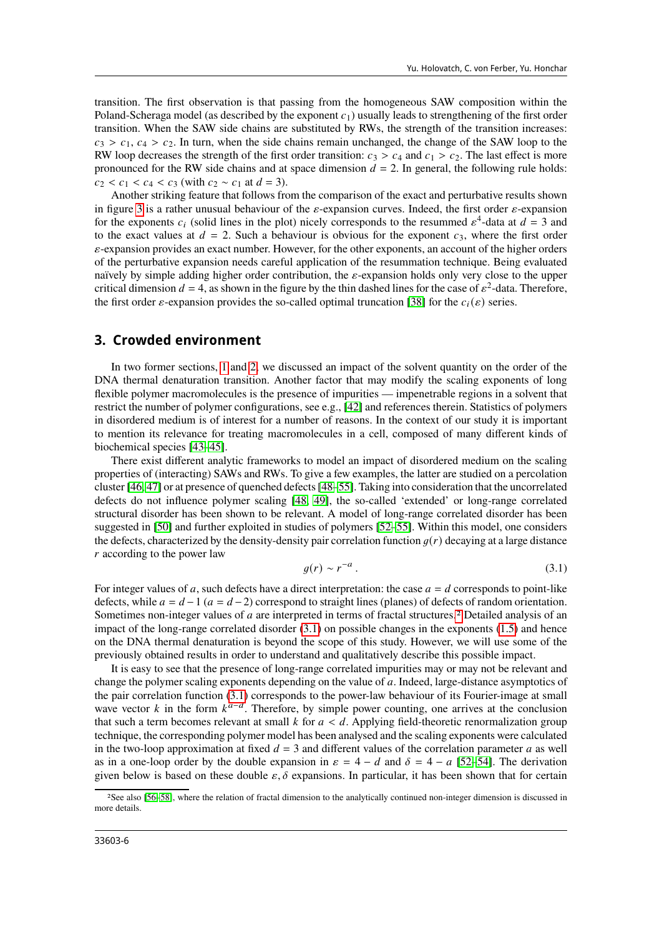transition. The first observation is that passing from the homogeneous SAW composition within the Poland-Scheraga model (as described by the exponent  $c_1$ ) usually leads to strengthening of the first order transition. When the SAW side chains are substituted by RWs, the strength of the transition increases:  $c_3 > c_1$ ,  $c_4 > c_2$ . In turn, when the side chains remain unchanged, the change of the SAW loop to the RW loop decreases the strength of the first order transition:  $c_3 > c_4$  and  $c_1 > c_2$ . The last effect is more pronounced for the RW side chains and at space dimension  $d = 2$ . In general, the following rule holds:  $c_2 < c_1 < c_4 < c_3$  (with  $c_2 \sim c_1$  at  $d = 3$ ).

Another striking feature that follows from the comparison of the exact and perturbative results shown in figure [3](#page-4-3) is a rather unusual behaviour of the  $\varepsilon$ -expansion curves. Indeed, the first order  $\varepsilon$ -expansion for the exponents  $c_i$  (solid lines in the plot) nicely corresponds to the resummed  $\varepsilon^4$ -data at  $d = 3$  and to the exact values at  $d = 2$ . Such a behaviour is obvious for the exponent  $c_3$ , where the first order  $\varepsilon$ -expansion provides an exact number. However, for the other exponents, an account of the higher orders of the perturbative expansion needs careful application of the resummation technique. Being evaluated naïvely by simple adding higher order contribution, the  $\varepsilon$ -expansion holds only very close to the upper critical dimension  $d = 4$ , as shown in the figure by the thin dashed lines for the case of  $\varepsilon^2$ -data. Therefore, the first order  $\varepsilon$ -expansion provides the so-called optimal truncation [\[38\]](#page-8-9) for the  $c_i(\varepsilon)$  series.

#### <span id="page-5-0"></span>**3. Crowded environment**

In two former sections, [1](#page-1-2) and [2,](#page-4-0) we discussed an impact of the solvent quantity on the order of the DNA thermal denaturation transition. Another factor that may modify the scaling exponents of long flexible polymer macromolecules is the presence of impurities — impenetrable regions in a solvent that restrict the number of polymer configurations, see e.g., [\[42\]](#page-8-12) and references therein. Statistics of polymers in disordered medium is of interest for a number of reasons. In the context of our study it is important to mention its relevance for treating macromolecules in a cell, composed of many different kinds of biochemical species [\[43](#page-8-13)[–45\]](#page-8-14).

There exist different analytic frameworks to model an impact of disordered medium on the scaling properties of (interacting) SAWs and RWs. To give a few examples, the latter are studied on a percolation cluster [\[46,](#page-8-15) [47\]](#page-8-16) or at presence of quenched defects [\[48](#page-8-17)[–55\]](#page-8-18). Taking into consideration that the uncorrelated defects do not influence polymer scaling [\[48,](#page-8-17) [49\]](#page-8-19), the so-called 'extended' or long-range correlated structural disorder has been shown to be relevant. A model of long-range correlated disorder has been suggested in [\[50\]](#page-8-20) and further exploited in studies of polymers [\[52–](#page-8-21)[55\]](#page-8-18). Within this model, one considers the defects, characterized by the density-density pair correlation function  $q(r)$  decaying at a large distance  $r$  according to the power law

<span id="page-5-2"></span>
$$
g(r) \sim r^{-a} \,. \tag{3.1}
$$

For integer values of a, such defects have a direct interpretation: the case  $a = d$  corresponds to point-like defects, while  $a = d - 1$  ( $a = d - 2$ ) correspond to straight lines (planes) of defects of random orientation. Sometimes non-integer values of a are interpreted in terms of fractal structures.<sup>[2](#page-5-1)</sup> Detailed analysis of an impact of the long-range correlated disorder [\(3.1\)](#page-5-2) on possible changes in the exponents [\(1.5\)](#page-3-2) and hence on the DNA thermal denaturation is beyond the scope of this study. However, we will use some of the previously obtained results in order to understand and qualitatively describe this possible impact.

It is easy to see that the presence of long-range correlated impurities may or may not be relevant and change the polymer scaling exponents depending on the value of  $a$ . Indeed, large-distance asymptotics of the pair correlation function [\(3.1\)](#page-5-2) corresponds to the power-law behaviour of its Fourier-image at small wave vector k in the form  $k^{a-d}$ . Therefore, by simple power counting, one arrives at the conclusion that such a term becomes relevant at small  $k$  for  $a < d$ . Applying field-theoretic renormalization group technique, the corresponding polymer model has been analysed and the scaling exponents were calculated in the two-loop approximation at fixed  $d = 3$  and different values of the correlation parameter a as well as in a one-loop order by the double expansion in  $\varepsilon = 4 - d$  and  $\delta = 4 - a$  [\[52](#page-8-21)[–54\]](#page-8-22). The derivation given below is based on these double  $\varepsilon$ ,  $\delta$  expansions. In particular, it has been shown that for certain

<span id="page-5-1"></span><sup>2</sup>See also [\[56](#page-8-23)[–58\]](#page-8-24), where the relation of fractal dimension to the analytically continued non-integer dimension is discussed in more details.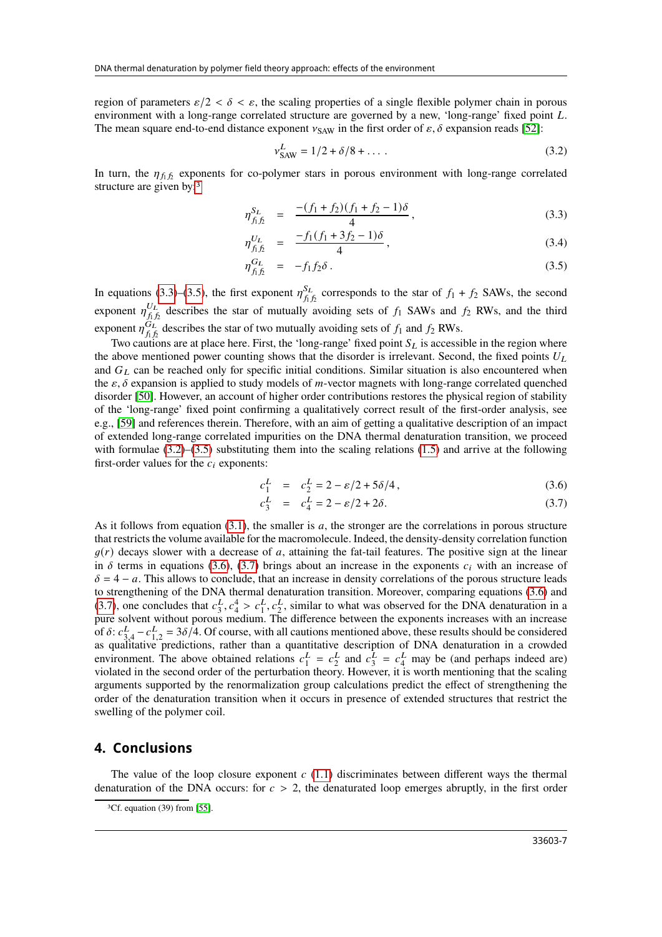region of parameters  $\varepsilon/2 < \delta < \varepsilon$ , the scaling properties of a single flexible polymer chain in porous environment with a long-range correlated structure are governed by a new, 'long-range' fixed point L. The mean square end-to-end distance exponent  $v_{SAW}$  in the first order of  $\varepsilon$ ,  $\delta$  expansion reads [\[52\]](#page-8-21):

<span id="page-6-3"></span>
$$
v_{\text{SAW}}^L = 1/2 + \delta/8 + \dots \tag{3.2}
$$

In turn, the  $\eta_{f_1 f_2}$  exponents for co-polymer stars in porous environment with long-range correlated structure are given by:<sup>[3](#page-6-1)</sup>

<span id="page-6-2"></span>
$$
\eta_{f_1 f_2}^{S_L} = \frac{-(f_1 + f_2)(f_1 + f_2 - 1)\delta}{4}, \qquad (3.3)
$$

$$
\eta_{f_1 f_2}^{U_L} = \frac{-f_1(f_1 + 3f_2 - 1)\delta}{4}, \qquad (3.4)
$$

$$
\eta_{f_1 f_2}^{G_L} = -f_1 f_2 \delta \,. \tag{3.5}
$$

In equations [\(3.3\)](#page-6-2)–[\(3.5\)](#page-6-2), the first exponent  $\eta_{f}^{S_L}$  $S_L$  corresponds to the star of  $f_1 + f_2$  SAWs, the second exponent  $\eta_{f_t}^{U_L}$  $U_L$  describes the star of mutually avoiding sets of  $f_1$  SAWs and  $f_2$  RWs, and the third exponent  $\eta_{f_t}^{\tilde{G}_L}$  $G_L$  describes the star of two mutually avoiding sets of  $f_1$  and  $f_2$  RWs.

Two cautions are at place here. First, the 'long-range' fixed point  $S_L$  is accessible in the region where the above mentioned power counting shows that the disorder is irrelevant. Second, the fixed points  $U_L$ and  $G_L$  can be reached only for specific initial conditions. Similar situation is also encountered when the  $\varepsilon$ ,  $\delta$  expansion is applied to study models of m-vector magnets with long-range correlated quenched disorder [\[50\]](#page-8-20). However, an account of higher order contributions restores the physical region of stability of the 'long-range' fixed point confirming a qualitatively correct result of the first-order analysis, see e.g., [\[59\]](#page-8-25) and references therein. Therefore, with an aim of getting a qualitative description of an impact of extended long-range correlated impurities on the DNA thermal denaturation transition, we proceed with formulae  $(3.2)$ – $(3.5)$  substituting them into the scaling relations  $(1.5)$  and arrive at the following first-order values for the  $c_i$  exponents:

<span id="page-6-4"></span>
$$
c_1^L = c_2^L = 2 - \varepsilon/2 + 5\delta/4, \qquad (3.6)
$$

$$
c_3^L = c_4^L = 2 - \varepsilon/2 + 2\delta.
$$
 (3.7)

As it follows from equation [\(3.1\)](#page-5-2), the smaller is  $a$ , the stronger are the correlations in porous structure that restricts the volume available for the macromolecule. Indeed, the density-density correlation function  $g(r)$  decays slower with a decrease of a, attaining the fat-tail features. The positive sign at the linear in  $\delta$  terms in equations [\(3.6\)](#page-6-4), [\(3.7\)](#page-6-4) brings about an increase in the exponents  $c_i$  with an increase of  $\delta = 4 - a$ . This allows to conclude, that an increase in density correlations of the porous structure leads to strengthening of the DNA thermal denaturation transition. Moreover, comparing equations [\(3.6\)](#page-6-4) and [\(3.7\)](#page-6-4), one concludes that  $c_3^L$  $\frac{L}{3}$ ,  $c_4^4 > c_1^L$ ,  $c_2^L$ , similar to what was observed for the DNA denaturation in a pure solvent without porous medium. The difference between the exponents increases with an increase of  $\delta$ :  $c_{3,4}^L - c_{1,2}^L = 3\delta/4$ . Of course, with all cautions mentioned above, these results should be considered as qualitative predictions, rather than a quantitative description of DNA denaturation in a crowded environment. The above obtained relations  $c_1^L$  $L_1^L = c_2^L$  $rac{L}{2}$  and  $c_3^L$  $\frac{L}{3} = c_4^L$  may be (and perhaps indeed are) violated in the second order of the perturbation theory. However, it is worth mentioning that the scaling arguments supported by the renormalization group calculations predict the effect of strengthening the order of the denaturation transition when it occurs in presence of extended structures that restrict the swelling of the polymer coil.

#### <span id="page-6-0"></span>**4. Conclusions**

The value of the loop closure exponent  $c(1.1)$  $c(1.1)$  discriminates between different ways the thermal denaturation of the DNA occurs: for  $c > 2$ , the denaturated loop emerges abruptly, in the first order

<span id="page-6-1"></span><sup>3</sup>Cf. equation (39) from [\[55\]](#page-8-18).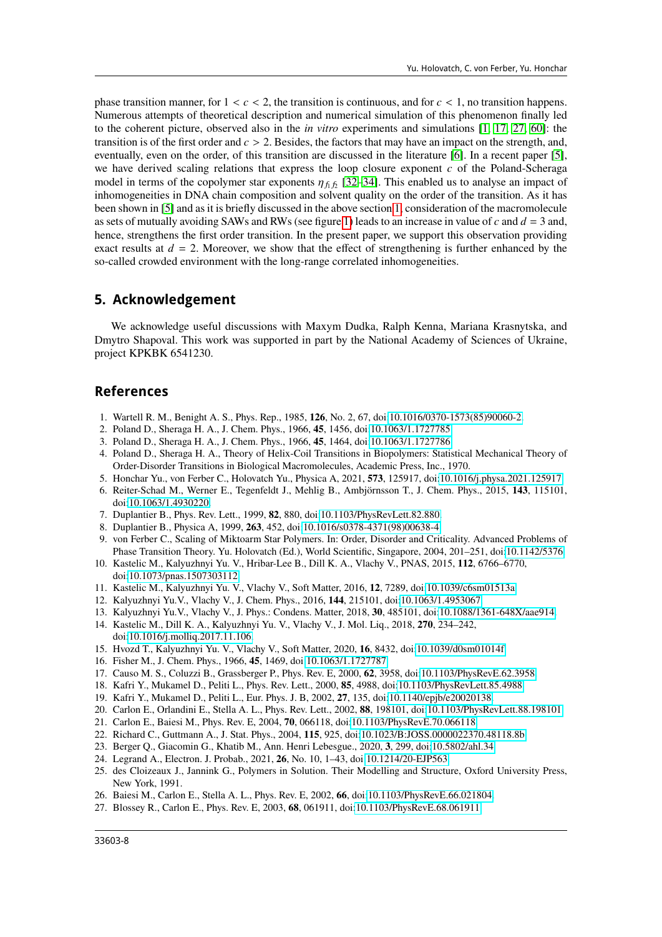phase transition manner, for  $1 < c < 2$ , the transition is continuous, and for  $c < 1$ , no transition happens. Numerous attempts of theoretical description and numerical simulation of this phenomenon finally led to the coherent picture, observed also in the *in vitro* experiments and simulations [\[1,](#page-7-0) [17,](#page-7-13) [27,](#page-7-16) [60\]](#page-8-26): the transition is of the first order and  $c > 2$ . Besides, the factors that may have an impact on the strength, and, eventually, even on the order, of this transition are discussed in the literature [\[6\]](#page-7-4). In a recent paper [\[5\]](#page-7-3), we have derived scaling relations that express the loop closure exponent  $c$  of the Poland-Scheraga model in terms of the copolymer star exponents  $\eta_{f_1 f_2}$  [\[32](#page-8-2)[–34\]](#page-8-3). This enabled us to analyse an impact of inhomogeneities in DNA chain composition and solvent quality on the order of the transition. As it has been shown in [\[5\]](#page-7-3) and as it is briefly discussed in the above section [1,](#page-1-2) consideration of the macromolecule as sets of mutually avoiding SAWs and RWs (see figure [1\)](#page-1-0) leads to an increase in value of  $c$  and  $d = 3$  and, hence, strengthens the first order transition. In the present paper, we support this observation providing exact results at  $d = 2$ . Moreover, we show that the effect of strengthening is further enhanced by the so-called crowded environment with the long-range correlated inhomogeneities.

#### **5. Acknowledgement**

We acknowledge useful discussions with Maxym Dudka, Ralph Kenna, Mariana Krasnytska, and Dmytro Shapoval. This work was supported in part by the National Academy of Sciences of Ukraine, project KPKBK 6541230.

#### **References**

- <span id="page-7-0"></span>1. Wartell R. M., Benight A. S., Phys. Rep., 1985, **126**, No. 2, 67, doi[:10.1016/0370-1573\(85\)90060-2.](https://doi.org/10.1016/0370-1573(85)90060-2)
- <span id="page-7-1"></span>2. Poland D., Sheraga H. A., J. Chem. Phys., 1966, **45**, 1456, doi[:10.1063/1.1727785.](https://doi.org/10.1063/1.1727785)
- <span id="page-7-9"></span>3. Poland D., Sheraga H. A., J. Chem. Phys., 1966, **45**, 1464, doi[:10.1063/1.1727786.](https://doi.org/10.1063/1.1727786)
- <span id="page-7-2"></span>4. Poland D., Sheraga H. A., Theory of Helix-Coil Transitions in Biopolymers: Statistical Mechanical Theory of Order-Disorder Transitions in Biological Macromolecules, Academic Press, Inc., 1970.
- <span id="page-7-3"></span>5. Honchar Yu., von Ferber C., Holovatch Yu., Physica A, 2021, **573**, 125917, doi[:10.1016/j.physa.2021.125917.](https://doi.org/10.1016/j.physa.2021.125917)
- <span id="page-7-4"></span>6. Reiter-Schad M., Werner E., Tegenfeldt J., Mehlig B., Ambjörnsson T., J. Chem. Phys., 2015, **143**, 115101, doi[:10.1063/1.4930220.](https://doi.org/10.1063/1.4930220)
- <span id="page-7-5"></span>7. Duplantier B., Phys. Rev. Lett., 1999, **82**, 880, doi[:10.1103/PhysRevLett.82.880.](https://doi.org/10.1103/PhysRevLett.82.880)
- <span id="page-7-17"></span>8. Duplantier B., Physica A, 1999, **263**, 452, doi[:10.1016/s0378-4371\(98\)00638-4.](https://doi.org/10.1016/s0378-4371(98)00638-4)
- <span id="page-7-6"></span>9. von Ferber C., Scaling of Miktoarm Star Polymers. In: Order, Disorder and Criticality. Advanced Problems of Phase Transition Theory. Yu. Holovatch (Ed.), World Scientific, Singapore, 2004, 201–251, doi[:10.1142/5376.](https://doi.org/10.1142/5376)
- <span id="page-7-7"></span>10. Kastelic M., Kalyuzhnyi Yu. V., Hribar-Lee B., Dill K. A., Vlachy V., PNAS, 2015, **112**, 6766–6770, doi[:10.1073/pnas.1507303112.](https://doi.org/10.1073/pnas.1507303112)
- 11. Kastelic M., Kalyuzhnyi Yu. V., Vlachy V., Soft Matter, 2016, **12**, 7289, doi[:10.1039/c6sm01513a.](https://doi.org/10.1039/c6sm01513a)
- 12. Kalyuzhnyi Yu.V., Vlachy V., J. Chem. Phys., 2016, **144**, 215101, doi[:10.1063/1.4953067.](https://doi.org/10.1063/1.4953067)
- 13. Kalyuzhnyi Yu.V., Vlachy V., J. Phys.: Condens. Matter, 2018, **30**, 485101, doi[:10.1088/1361-648X/aae914.](https://doi.org/10.1088/1361-648X/aae914)
- 14. Kastelic M., Dill K. A., Kalyuzhnyi Yu. V., Vlachy V., J. Mol. Liq., 2018, **270**, 234–242, doi[:10.1016/j.molliq.2017.11.106.](https://doi.org/10.1016/j.molliq.2017.11.106)
- <span id="page-7-8"></span>15. Hvozd T., Kalyuzhnyi Yu. V., Vlachy V., Soft Matter, 2020, **16**, 8432, doi[:10.1039/d0sm01014f.](https://doi.org/10.1039/d0sm01014f)
- <span id="page-7-10"></span>16. Fisher M., J. Chem. Phys., 1966, **45**, 1469, doi[:10.1063/1.1727787.](https://doi.org/10.1063/1.1727787)
- <span id="page-7-13"></span>17. Causo M. S., Coluzzi B., Grassberger P., Phys. Rev. E, 2000, **62**, 3958, doi[:10.1103/PhysRevE.62.3958.](https://doi.org/10.1103/PhysRevE.62.3958)
- 18. Kafri Y., Mukamel D., Peliti L., Phys. Rev. Lett., 2000, **85**, 4988, doi[:10.1103/PhysRevLett.85.4988.](https://doi.org/10.1103/PhysRevLett.85.4988)
- 19. Kafri Y., Mukamel D., Peliti L., Eur. Phys. J. B, 2002, **27**, 135, doi[:10.1140/epjb/e20020138.](https://doi.org/10.1140/epjb/e20020138)
- 20. Carlon E., Orlandini E., Stella A. L., Phys. Rev. Lett., 2002, **88**, 198101, doi[:10.1103/PhysRevLett.88.198101.](https://doi.org/10.1103/PhysRevLett.88.198101)
- <span id="page-7-14"></span>21. Carlon E., Baiesi M., Phys. Rev. E, 2004, **70**, 066118, doi[:10.1103/PhysRevE.70.066118.](https://doi.org/10.1103/PhysRevE.70.066118)
- 22. Richard C., Guttmann A., J. Stat. Phys., 2004, **115**, 925, doi[:10.1023/B:JOSS.0000022370.48118.8b.](https://doi.org/10.1023/B:JOSS.0000022370.48118.8b)
- 23. Berger Q., Giacomin G., Khatib M., Ann. Henri Lebesgue., 2020, **3**, 299, doi[:10.5802/ahl.34.](https://doi.org/10.5802/ahl.34)
- <span id="page-7-11"></span>24. Legrand A., Electron. J. Probab., 2021, **26**, No. 10, 1–43, doi[:10.1214/20-EJP563.](https://doi.org/10.1214/20-EJP563)
- <span id="page-7-12"></span>25. des Cloizeaux J., Jannink G., Polymers in Solution. Their Modelling and Structure, Oxford University Press, New York, 1991.
- <span id="page-7-15"></span>26. Baiesi M., Carlon E., Stella A. L., Phys. Rev. E, 2002, **66**, doi[:10.1103/PhysRevE.66.021804.](https://doi.org/10.1103/PhysRevE.66.021804)
- <span id="page-7-16"></span>27. Blossey R., Carlon E., Phys. Rev. E, 2003, **68**, 061911, doi[:10.1103/PhysRevE.68.061911.](https://doi.org/10.1103/PhysRevE.68.061911)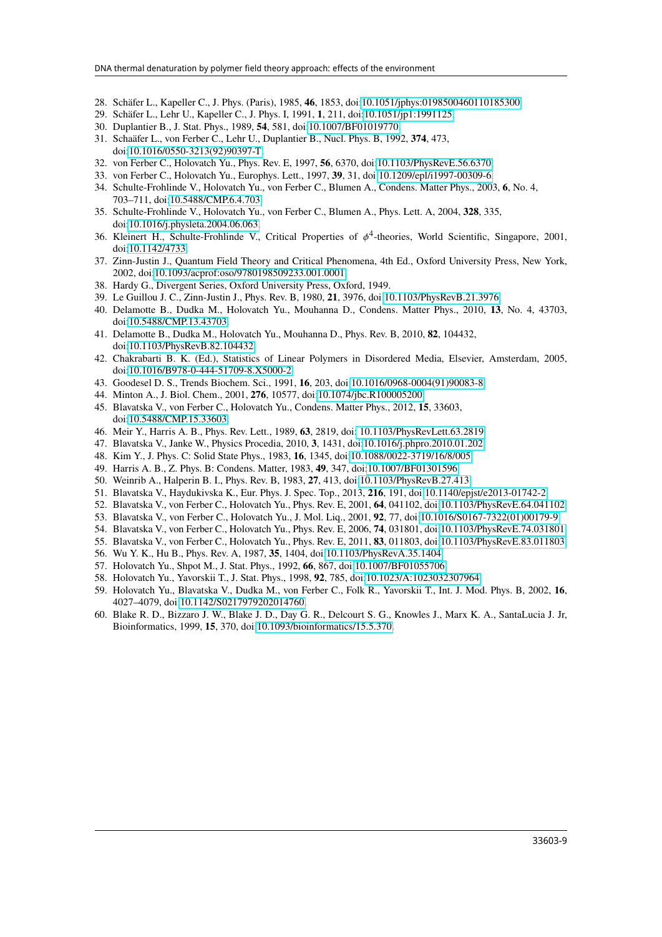- <span id="page-8-0"></span>28. Schäfer L., Kapeller C., J. Phys. (Paris), 1985, **46**, 1853, doi[:10.1051/jphys:0198500460110185300.](https://doi.org/10.1051/jphys:0198500460110185300)
- <span id="page-8-1"></span>29. Schäfer L., Lehr U., Kapeller C., J. Phys. I, 1991, **1**, 211, doi[:10.1051/jp1:1991125.](https://doi.org/10.1051/jp1:1991125)
- <span id="page-8-4"></span>30. Duplantier B., J. Stat. Phys., 1989, **54**, 581, doi[:10.1007/BF01019770.](https://doi.org/10.1007/BF01019770)
- <span id="page-8-5"></span>31. Schaäfer L., von Ferber C., Lehr U., Duplantier B., Nucl. Phys. B, 1992, **374**, 473, doi[:10.1016/0550-3213\(92\)90397-T.](https://doi.org/10.1016/0550-3213(92)90397-T)
- <span id="page-8-2"></span>32. von Ferber C., Holovatch Yu., Phys. Rev. E, 1997, **56**, 6370, doi[:10.1103/PhysRevE.56.6370.](https://doi.org/10.1103/PhysRevE.56.6370)
- 33. von Ferber C., Holovatch Yu., Europhys. Lett., 1997, **39**, 31, doi[:10.1209/epl/i1997-00309-6.](https://doi.org/10.1209/epl/i1997-00309-6)
- <span id="page-8-3"></span>34. Schulte-Frohlinde V., Holovatch Yu., von Ferber C., Blumen A., Condens. Matter Phys., 2003, **6**, No. 4, 703–711, doi[:10.5488/CMP.6.4.703.](https://doi.org/10.5488/CMP.6.4.703)
- <span id="page-8-6"></span>35. Schulte-Frohlinde V., Holovatch Yu., von Ferber C., Blumen A., Phys. Lett. A, 2004, **328**, 335, doi[:10.1016/j.physleta.2004.06.063.](https://doi.org/10.1016/j.physleta.2004.06.063)
- <span id="page-8-7"></span>36. Kleinert H., Schulte-Frohlinde V., Critical Properties of  $\phi^4$ -theories, World Scientific, Singapore, 2001, doi[:10.1142/4733.](https://doi.org/10.1142/4733)
- <span id="page-8-8"></span>37. Zinn-Justin J., Quantum Field Theory and Critical Phenomena, 4th Ed., Oxford University Press, New York, 2002, doi[:10.1093/acprof:oso/9780198509233.001.0001.](https://doi.org/10.1093/acprof:oso/9780198509233.001.0001)
- <span id="page-8-9"></span>38. Hardy G., Divergent Series, Oxford University Press, Oxford, 1949.
- <span id="page-8-10"></span>39. Le Guillou J. C., Zinn-Justin J., Phys. Rev. B, 1980, **21**, 3976, doi[:10.1103/PhysRevB.21.3976.](https://doi.org/10.1103/PhysRevB.21.3976)
- 40. Delamotte B., Dudka M., Holovatch Yu., Mouhanna D., Condens. Matter Phys., 2010, **13**, No. 4, 43703, doi[:10.5488/CMP.13.43703.](https://doi.org/10.5488/CMP.13.43703)
- <span id="page-8-11"></span>41. Delamotte B., Dudka M., Holovatch Yu., Mouhanna D., Phys. Rev. B, 2010, **82**, 104432, doi[:10.1103/PhysRevB.82.104432.](https://doi.org/10.1103/PhysRevB.82.104432)
- <span id="page-8-12"></span>42. Chakrabarti B. K. (Ed.), Statistics of Linear Polymers in Disordered Media, Elsevier, Amsterdam, 2005, doi[:10.1016/B978-0-444-51709-8.X5000-2.](https://doi.org/10.1016/B978-0-444-51709-8.X5000-2)
- <span id="page-8-13"></span>43. Goodesel D. S., Trends Biochem. Sci., 1991, **16**, 203, doi[:10.1016/0968-0004\(91\)90083-8.](https://doi.org/10.1016/0968-0004(91)90083-8)
- 44. Minton A., J. Biol. Chem., 2001, **276**, 10577, doi[:10.1074/jbc.R100005200.](https://doi.org/10.1074/jbc.R100005200)
- <span id="page-8-14"></span>45. Blavatska V., von Ferber C., Holovatch Yu., Condens. Matter Phys., 2012, **15**, 33603, doi[:10.5488/CMP.15.33603.](https://doi.org/10.5488/CMP.15.33603)
- <span id="page-8-15"></span>46. Meir Y., Harris A. B., Phys. Rev. Lett., 1989, **63**, 2819, doi[: 10.1103/PhysRevLett.63.2819.](https://doi.org/ 10.1103/PhysRevLett.63.2819)
- <span id="page-8-16"></span>47. Blavatska V., Janke W., Physics Procedia, 2010, **3**, 1431, doi[:10.1016/j.phpro.2010.01.202.](https://doi.org/10.1016/j.phpro.2010.01.202)
- <span id="page-8-17"></span>48. Kim Y., J. Phys. C: Solid State Phys., 1983, **16**, 1345, doi[:10.1088/0022-3719/16/8/005.](https://doi.org/10.1088/0022-3719/16/8/005)
- <span id="page-8-19"></span>49. Harris A. B., Z. Phys. B: Condens. Matter, 1983, **49**, 347, doi[:10.1007/BF01301596.](https://doi.org/10.1007/BF01301596)
- <span id="page-8-20"></span>50. Weinrib A., Halperin B. I., Phys. Rev. B, 1983, **27**, 413, doi[:10.1103/PhysRevB.27.413.](https://doi.org/10.1103/PhysRevB.27.413)
- 51. Blavatska V., Haydukivska K., Eur. Phys. J. Spec. Top., 2013, **216**, 191, doi[:10.1140/epjst/e2013-01742-2.](https://doi.org/10.1140/epjst/e2013-01742-2)
- <span id="page-8-21"></span>52. Blavatska V., von Ferber C., Holovatch Yu., Phys. Rev. E, 2001, **64**, 041102, doi[:10.1103/PhysRevE.64.041102.](https://doi.org/10.1103/PhysRevE.64.041102)
- 53. Blavatska V., von Ferber C., Holovatch Yu., J. Mol. Liq., 2001, **92**, 77, doi[:10.1016/S0167-7322\(01\)00179-9.](https://doi.org/10.1016/S0167-7322(01)00179-9)
- <span id="page-8-22"></span>54. Blavatska V., von Ferber C., Holovatch Yu., Phys. Rev. E, 2006, **74**, 031801, doi[:10.1103/PhysRevE.74.031801.](https://doi.org/10.1103/PhysRevE.74.031801)
- <span id="page-8-18"></span>55. Blavatska V., von Ferber C., Holovatch Yu., Phys. Rev. E, 2011, **83**, 011803, doi[:10.1103/PhysRevE.83.011803.](https://doi.org/10.1103/PhysRevE.83.011803)
- <span id="page-8-23"></span>56. Wu Y. K., Hu B., Phys. Rev. A, 1987, **35**, 1404, doi[:10.1103/PhysRevA.35.1404.](https://doi.org/10.1103/PhysRevA.35.1404)
- 57. Holovatch Yu., Shpot M., J. Stat. Phys., 1992, **66**, 867, doi[:10.1007/BF01055706.](https://doi.org/10.1007/BF01055706)
- <span id="page-8-24"></span>58. Holovatch Yu., Yavorskii T., J. Stat. Phys., 1998, **92**, 785, doi[:10.1023/A:1023032307964.](https://doi.org/10.1023/A:1023032307964)
- <span id="page-8-25"></span>59. Holovatch Yu., Blavatska V., Dudka M., von Ferber C., Folk R., Yavorskii T., Int. J. Mod. Phys. B, 2002, **16**, 4027–4079, doi[:10.1142/S0217979202014760.](https://doi.org/10.1142/S0217979202014760)
- <span id="page-8-26"></span>60. Blake R. D., Bizzaro J. W., Blake J. D., Day G. R., Delcourt S. G., Knowles J., Marx K. A., SantaLucia J. Jr, Bioinformatics, 1999, **15**, 370, doi[:10.1093/bioinformatics/15.5.370.](https://doi.org/10.1093/bioinformatics/15.5.370)